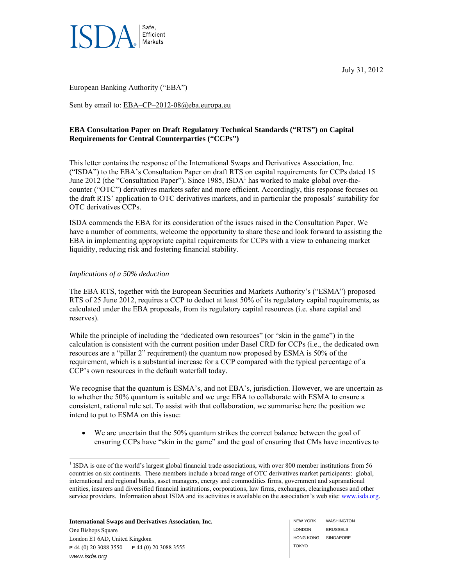

July 31, 2012

European Banking Authority ("EBA")

Sent by email to: EBA–CP–2012-08@eba.europa.eu

# **EBA Consultation Paper on Draft Regulatory Technical Standards ("RTS") on Capital Requirements for Central Counterparties ("CCPs")**

This letter contains the response of the International Swaps and Derivatives Association, Inc. ("ISDA") to the EBA's Consultation Paper on draft RTS on capital requirements for CCPs dated 15 June 2012 (the "Consultation Paper"). Since 1985, ISDA<sup>1</sup> has worked to make global over-thecounter ("OTC") derivatives markets safer and more efficient. Accordingly, this response focuses on the draft RTS' application to OTC derivatives markets, and in particular the proposals' suitability for OTC derivatives CCPs.

ISDA commends the EBA for its consideration of the issues raised in the Consultation Paper. We have a number of comments, welcome the opportunity to share these and look forward to assisting the EBA in implementing appropriate capital requirements for CCPs with a view to enhancing market liquidity, reducing risk and fostering financial stability.

## *Implications of a 50% deduction*

1

The EBA RTS, together with the European Securities and Markets Authority's ("ESMA") proposed RTS of 25 June 2012, requires a CCP to deduct at least 50% of its regulatory capital requirements, as calculated under the EBA proposals, from its regulatory capital resources (i.e. share capital and reserves).

While the principle of including the "dedicated own resources" (or "skin in the game") in the calculation is consistent with the current position under Basel CRD for CCPs (i.e., the dedicated own resources are a "pillar 2" requirement) the quantum now proposed by ESMA is 50% of the requirement, which is a substantial increase for a CCP compared with the typical percentage of a CCP's own resources in the default waterfall today.

We recognise that the quantum is ESMA's, and not EBA's, jurisdiction. However, we are uncertain as to whether the 50% quantum is suitable and we urge EBA to collaborate with ESMA to ensure a consistent, rational rule set. To assist with that collaboration, we summarise here the position we intend to put to ESMA on this issue:

 We are uncertain that the 50% quantum strikes the correct balance between the goal of ensuring CCPs have "skin in the game" and the goal of ensuring that CMs have incentives to

**International Swaps and Derivatives Association, Inc.**  One Bishops Square London E1 6AD, United Kingdom **P** 44 (0) 20 3088 3550 **F** 44 (0) 20 3088 3555 *www.isda.org* 

NEW YORK LONDON HONG KONG SINGAPORE TOKYO **WASHINGTON** BRUSSELS

<sup>&</sup>lt;sup>1</sup> ISDA is one of the world's largest global financial trade associations, with over 800 member institutions from 56 countries on six continents. These members include a broad range of OTC derivatives market participants: global, international and regional banks, asset managers, energy and commodities firms, government and supranational entities, insurers and diversified financial institutions, corporations, law firms, exchanges, clearinghouses and other service providers. Information about ISDA and its activities is available on the association's web site: www.isda.org.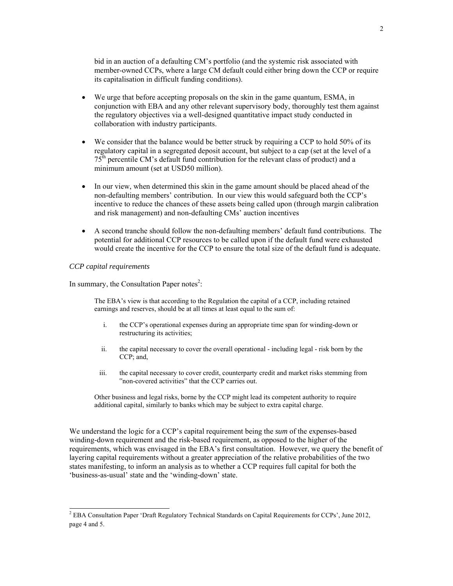bid in an auction of a defaulting CM's portfolio (and the systemic risk associated with member-owned CCPs, where a large CM default could either bring down the CCP or require its capitalisation in difficult funding conditions).

- We urge that before accepting proposals on the skin in the game quantum, ESMA, in conjunction with EBA and any other relevant supervisory body, thoroughly test them against the regulatory objectives via a well-designed quantitative impact study conducted in collaboration with industry participants.
- We consider that the balance would be better struck by requiring a CCP to hold 50% of its regulatory capital in a segregated deposit account, but subject to a cap (set at the level of a 75th percentile CM's default fund contribution for the relevant class of product) and a minimum amount (set at USD50 million).
- In our view, when determined this skin in the game amount should be placed ahead of the non-defaulting members' contribution. In our view this would safeguard both the CCP's incentive to reduce the chances of these assets being called upon (through margin calibration and risk management) and non-defaulting CMs' auction incentives
- A second tranche should follow the non-defaulting members' default fund contributions. The potential for additional CCP resources to be called upon if the default fund were exhausted would create the incentive for the CCP to ensure the total size of the default fund is adequate.

#### *CCP capital requirements*

In summary, the Consultation Paper notes<sup>2</sup>:

The EBA's view is that according to the Regulation the capital of a CCP, including retained earnings and reserves, should be at all times at least equal to the sum of:

- i. the CCP's operational expenses during an appropriate time span for winding-down or restructuring its activities;
- ii. the capital necessary to cover the overall operational including legal risk born by the CCP; and,
- iii. the capital necessary to cover credit, counterparty credit and market risks stemming from "non-covered activities" that the CCP carries out.

Other business and legal risks, borne by the CCP might lead its competent authority to require additional capital, similarly to banks which may be subject to extra capital charge.

We understand the logic for a CCP's capital requirement being the *sum* of the expenses-based winding-down requirement and the risk-based requirement, as opposed to the higher of the requirements, which was envisaged in the EBA's first consultation. However, we query the benefit of layering capital requirements without a greater appreciation of the relative probabilities of the two states manifesting, to inform an analysis as to whether a CCP requires full capital for both the 'business-as-usual' state and the 'winding-down' state.

 2 EBA Consultation Paper 'Draft Regulatory Technical Standards on Capital Requirements for CCPs', June 2012, page 4 and 5.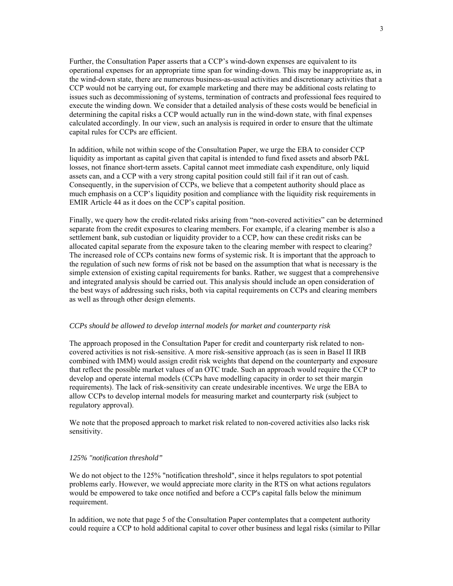Further, the Consultation Paper asserts that a CCP's wind-down expenses are equivalent to its operational expenses for an appropriate time span for winding-down. This may be inappropriate as, in the wind-down state, there are numerous business-as-usual activities and discretionary activities that a CCP would not be carrying out, for example marketing and there may be additional costs relating to issues such as decommissioning of systems, termination of contracts and professional fees required to execute the winding down. We consider that a detailed analysis of these costs would be beneficial in determining the capital risks a CCP would actually run in the wind-down state, with final expenses calculated accordingly. In our view, such an analysis is required in order to ensure that the ultimate capital rules for CCPs are efficient.

In addition, while not within scope of the Consultation Paper, we urge the EBA to consider CCP liquidity as important as capital given that capital is intended to fund fixed assets and absorb P&L losses, not finance short-term assets. Capital cannot meet immediate cash expenditure, only liquid assets can, and a CCP with a very strong capital position could still fail if it ran out of cash. Consequently, in the supervision of CCPs, we believe that a competent authority should place as much emphasis on a CCP's liquidity position and compliance with the liquidity risk requirements in EMIR Article 44 as it does on the CCP's capital position.

Finally, we query how the credit-related risks arising from "non-covered activities" can be determined separate from the credit exposures to clearing members. For example, if a clearing member is also a settlement bank, sub custodian or liquidity provider to a CCP, how can these credit risks can be allocated capital separate from the exposure taken to the clearing member with respect to clearing? The increased role of CCPs contains new forms of systemic risk. It is important that the approach to the regulation of such new forms of risk not be based on the assumption that what is necessary is the simple extension of existing capital requirements for banks. Rather, we suggest that a comprehensive and integrated analysis should be carried out. This analysis should include an open consideration of the best ways of addressing such risks, both via capital requirements on CCPs and clearing members as well as through other design elements.

#### *CCPs should be allowed to develop internal models for market and counterparty risk*

The approach proposed in the Consultation Paper for credit and counterparty risk related to noncovered activities is not risk-sensitive. A more risk-sensitive approach (as is seen in Basel II IRB combined with IMM) would assign credit risk weights that depend on the counterparty and exposure that reflect the possible market values of an OTC trade. Such an approach would require the CCP to develop and operate internal models (CCPs have modelling capacity in order to set their margin requirements). The lack of risk-sensitivity can create undesirable incentives. We urge the EBA to allow CCPs to develop internal models for measuring market and counterparty risk (subject to regulatory approval).

We note that the proposed approach to market risk related to non-covered activities also lacks risk sensitivity.

#### *125% "notification threshold"*

We do not object to the 125% "notification threshold", since it helps regulators to spot potential problems early. However, we would appreciate more clarity in the RTS on what actions regulators would be empowered to take once notified and before a CCP's capital falls below the minimum requirement.

In addition, we note that page 5 of the Consultation Paper contemplates that a competent authority could require a CCP to hold additional capital to cover other business and legal risks (similar to Pillar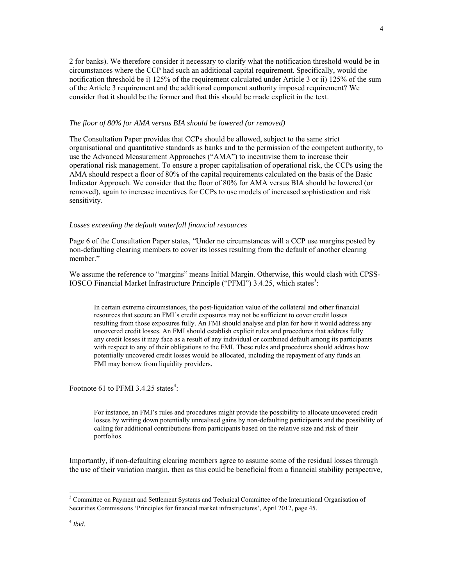2 for banks). We therefore consider it necessary to clarify what the notification threshold would be in circumstances where the CCP had such an additional capital requirement. Specifically, would the notification threshold be i) 125% of the requirement calculated under Article 3 or ii) 125% of the sum of the Article 3 requirement and the additional component authority imposed requirement? We consider that it should be the former and that this should be made explicit in the text.

#### *The floor of 80% for AMA versus BIA should be lowered (or removed)*

The Consultation Paper provides that CCPs should be allowed, subject to the same strict organisational and quantitative standards as banks and to the permission of the competent authority, to use the Advanced Measurement Approaches ("AMA") to incentivise them to increase their operational risk management. To ensure a proper capitalisation of operational risk, the CCPs using the AMA should respect a floor of 80% of the capital requirements calculated on the basis of the Basic Indicator Approach. We consider that the floor of 80% for AMA versus BIA should be lowered (or removed), again to increase incentives for CCPs to use models of increased sophistication and risk sensitivity.

### *Losses exceeding the default waterfall financial resources*

Page 6 of the Consultation Paper states, "Under no circumstances will a CCP use margins posted by non-defaulting clearing members to cover its losses resulting from the default of another clearing member."

We assume the reference to "margins" means Initial Margin. Otherwise, this would clash with CPSS-IOSCO Financial Market Infrastructure Principle ("PFMI") 3.4.25, which states<sup>3</sup>:

In certain extreme circumstances, the post-liquidation value of the collateral and other financial resources that secure an FMI's credit exposures may not be sufficient to cover credit losses resulting from those exposures fully. An FMI should analyse and plan for how it would address any uncovered credit losses. An FMI should establish explicit rules and procedures that address fully any credit losses it may face as a result of any individual or combined default among its participants with respect to any of their obligations to the FMI. These rules and procedures should address how potentially uncovered credit losses would be allocated, including the repayment of any funds an FMI may borrow from liquidity providers.

Footnote 61 to PFMI 3.4.25 states<sup>4</sup>:

For instance, an FMI's rules and procedures might provide the possibility to allocate uncovered credit losses by writing down potentially unrealised gains by non-defaulting participants and the possibility of calling for additional contributions from participants based on the relative size and risk of their portfolios.

Importantly, if non-defaulting clearing members agree to assume some of the residual losses through the use of their variation margin, then as this could be beneficial from a financial stability perspective,

-

<sup>&</sup>lt;sup>3</sup> Committee on Payment and Settlement Systems and Technical Committee of the International Organisation of Securities Commissions 'Principles for financial market infrastructures', April 2012, page 45.